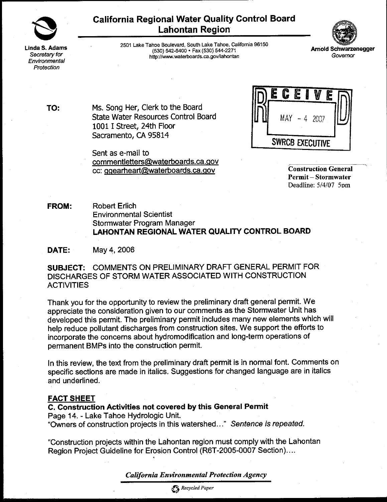

Linda S. Adams Secretary for Environmental Protection

**California Regional Water Quality Control Board Lahontan Region** 



2501 Lake Tahoe Boulevard, South Lake Tahoe, California 96150 (530) 542-5400 · Fax (530) 544-2271 http://www.waterboards.ca.gov/lahontan

TO:

Ms. Song Her, Clerk to the Board State Water Resources Control Board 1001 I Street, 24th Floor Sacramento, CA 95814

Sent as e-mail to commentletters@waterboards.ca.gov cc: ggearheart@waterboards.ca.gov



**Construction General Permit-Stormwater** Deadline: 5/4/07 5pm

**Robert Erlich FROM: Environmental Scientist** Stormwater Program Manager LAHONTAN REGIONAL WATER QUALITY CONTROL BOARD

DATE: May 4, 2006

SUBJECT: COMMENTS ON PRELIMINARY DRAFT GENERAL PERMIT FOR DISCHARGES OF STORM WATER ASSOCIATED WITH CONSTRUCTION **ACTIVITIES** 

Thank you for the opportunity to review the preliminary draft general permit. We appreciate the consideration given to our comments as the Stormwater Unit has developed this permit. The preliminary permit includes many new elements which will help reduce pollutant discharges from construction sites. We support the efforts to incorporate the concerns about hydromodification and long-term operations of permanent BMPs into the construction permit.

In this review, the text from the preliminary draft permit is in normal font. Comments on specific sections are made in italics. Suggestions for changed language are in italics and underlined.

#### **FACT SHEET**

C. Construction Activities not covered by this General Permit Page 14. - Lake Tahoe Hydrologic Unit. "Owners of construction projects in this watershed..." Sentence is repeated.

"Construction projects within the Lahontan region must comply with the Lahontan Region Project Guideline for Erosion Control (R6T-2005-0007 Section)....

**California Environmental Protection Agency** 

Recycled Paper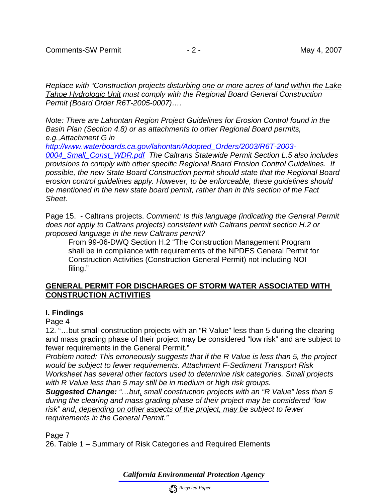*Replace with "Construction projects disturbing one or more acres of land within the Lake Tahoe Hydrologic Unit must comply with the Regional Board General Construction Permit (Board Order R6T-2005-0007)….* 

*Note: There are Lahontan Region Project Guidelines for Erosion Control found in the Basin Plan (Section 4.8) or as attachments to other Regional Board permits, e.g.,Attachment G in* 

*[http://www.waterboards.ca.gov/lahontan/Adopted\\_Orders/2003/R6T-2003-](http://www.waterboards.ca.gov/lahontan/Adopted_Orders/2003/R6T-2003-0004_Small_Const_WDR.pdf)*

*[0004\\_Small\\_Const\\_WDR.pdf](http://www.waterboards.ca.gov/lahontan/Adopted_Orders/2003/R6T-2003-0004_Small_Const_WDR.pdf) The Caltrans Statewide Permit Section L.5 also includes provisions to comply with other specific Regional Board Erosion Control Guidelines. If possible, the new State Board Construction permit should state that the Regional Board erosion control guidelines apply. However, to be enforceable, these guidelines should be mentioned in the new state board permit, rather than in this section of the Fact Sheet.* 

Page 15. - Caltrans projects. *Comment: Is this language (indicating the General Permit does not apply to Caltrans projects) consistent with Caltrans permit section H.2 or proposed language in the new Caltrans permit?* 

From 99-06-DWQ Section H.2 "The Construction Management Program shall be in compliance with requirements of the NPDES General Permit for Construction Activities (Construction General Permit) not including NOI filing."

# **GENERAL PERMIT FOR DISCHARGES OF STORM WATER ASSOCIATED WITH CONSTRUCTION ACTIVITIES**

### **I. Findings**

Page 4

12. "…but small construction projects with an "R Value" less than 5 during the clearing and mass grading phase of their project may be considered "low risk" and are subject to fewer requirements in the General Permit."

*Problem noted: This erroneously suggests that if the R Value is less than 5, the project would be subject to fewer requirements. Attachment F-Sediment Transport Risk Worksheet has several other factors used to determine risk categories. Small projects with R Value less than 5 may still be in medium or high risk groups.* 

*Suggested Change: "…but, small construction projects with an "R Value" less than 5 during the clearing and mass grading phase of their project may be considered "low risk" and, depending on other aspects of the project, may be subject to fewer requirements in the General Permit."* 

Page 7

26. Table 1 – Summary of Risk Categories and Required Elements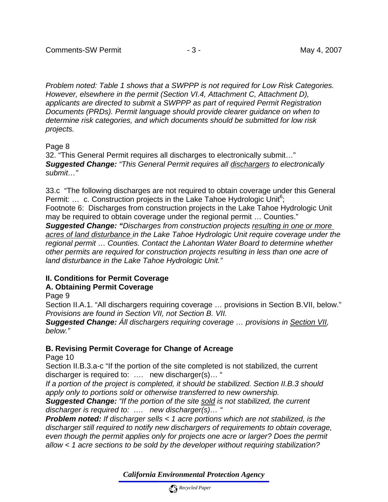*Problem noted: Table 1 shows that a SWPPP is not required for Low Risk Categories. However, elsewhere in the permit (Section VI.4, Attachment C, Attachment D), applicants are directed to submit a SWPPP as part of required Permit Registration Documents (PRDs). Permit language should provide clearer guidance on when to determine risk categories, and which documents should be submitted for low risk projects.* 

### Page 8

32. "This General Permit requires all discharges to electronically submit…" *Suggested Change: "This General Permit requires all dischargers to electronically submit…"* 

33.c "The following discharges are not required to obtain coverage under this General Permit: ... c. Construction projects in the Lake Tahoe Hydrologic Unit<sup>6</sup>; Footnote 6: Discharges from construction projects in the Lake Tahoe Hydrologic Unit

may be required to obtain coverage under the regional permit … Counties."

*Suggested Change: "Discharges from construction projects resulting in one or more acres of land disturbance in the Lake Tahoe Hydrologic Unit require coverage under the regional permit* … *Counties. Contact the Lahontan Water Board to determine whether other permits are required for construction projects resulting in less than one acre of land disturbance in the Lake Tahoe Hydrologic Unit."*

# **II. Conditions for Permit Coverage**

### **A. Obtaining Permit Coverage**

Page 9

Section II.A.1. "All dischargers requiring coverage … provisions in Section B.VII, below." *Provisions are found in Section VII, not Section B. VII.* 

*Suggested Change: Áll dischargers requiring coverage … provisions in Section VII, below."* 

# **B. Revising Permit Coverage for Change of Acreage**

Page 10

Section II.B.3.a-c "If the portion of the site completed is not stabilized, the current discharger is required to: …. new discharger(s)… "

*If a portion of the project is completed, it should be stabilized. Section II.B.3 should apply only to portions sold or otherwise transferred to new ownership.* 

*Suggested Change: "If the portion of the site sold is not stabilized, the current discharger is required to: …. new discharger(s)… "* 

*Problem noted: If discharger sells < 1 acre portions which are not stabilized, is the discharger still required to notify new dischargers of requirements to obtain coverage, even though the permit applies only for projects one acre or larger? Does the permit allow < 1 acre sections to be sold by the developer without requiring stabilization?*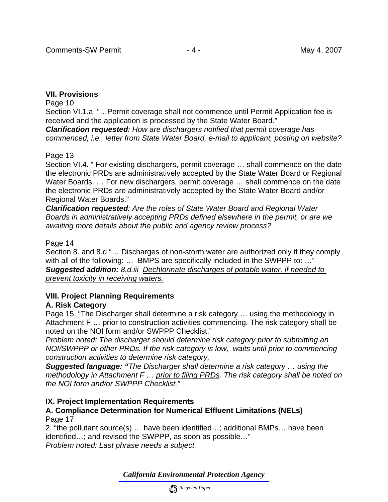# **VII. Provisions**

#### Page 10

Section VI.1.a. "…Permit coverage shall not commence until Permit Application fee is received and the application is processed by the State Water Board."

*Clarification requested: How are dischargers notified that permit coverage has commenced, i.e., letter from State Water Board, e-mail to applicant, posting on website?* 

### Page 13

Section VI.4. " For existing dischargers, permit coverage … shall commence on the date the electronic PRDs are administratively accepted by the State Water Board or Regional Water Boards. ... For new dischargers, permit coverage ... shall commence on the date the electronic PRDs are administratively accepted by the State Water Board and/or Regional Water Boards."

*Clarification requested: Are the roles of State Water Board and Regional Water Boards in administratively accepting PRDs defined elsewhere in the permit, or are we awaiting more details about the public and agency review process?* 

# Page 14

Section 8. and 8.d "… Discharges of non-storm water are authorized only if they comply with all of the following: ... BMPS are specifically included in the SWPPP to: ..." *Suggested addition: 8.d.iii Dechlorinate discharges of potable water, if needed to prevent toxicity in receiving waters.*

# **VIII. Project Planning Requirements**

# **A. Risk Category**

Page 15. "The Discharger shall determine a risk category … using the methodology in Attachment F … prior to construction activities commencing. The risk category shall be noted on the NOI form and/or SWPPP Checklist."

*Problem noted: The discharger should determine risk category prior to submitting an NOI/SWPPP or other PRDs. If the risk category is low, waits until prior to commencing construction activities to determine risk category,* 

*Suggested language: "The Discharger shall determine a risk category … using the methodology in Attachment F … prior to filing PRDs. The risk category shall be noted on the NOI form and/or SWPPP Checklist."*

### **IX. Project Implementation Requirements**

### **A. Compliance Determination for Numerical Effluent Limitations (NELs)**  Page 17

2. "the pollutant source(s) … have been identified…; additional BMPs… have been identified…; and revised the SWPPP, as soon as possible…" *Problem noted: Last phrase needs a subject.*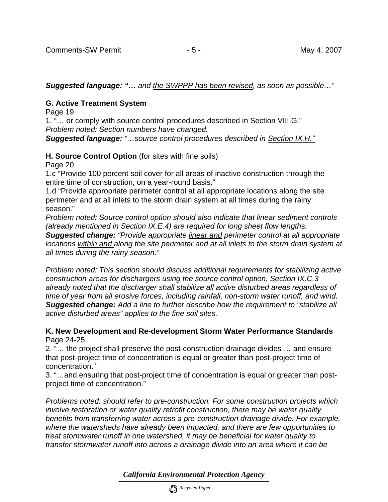*Suggested language: "… and the SWPPP has been revised, as soon as possible…"* 

# **G. Active Treatment System**

Page 19

1. "… or comply with source control procedures described in Section VIII.G." *Problem noted: Section numbers have changed.* 

*Suggested language: "…source control procedures described in Section IX.H."*

**H. Source Control Option** (for sites with fine soils)

Page 20

1.c "Provide 100 percent soil cover for all areas of inactive construction through the entire time of construction, on a year-round basis."

1.d "Provide appropriate perimeter control at all appropriate locations along the site perimeter and at all inlets to the storm drain system at all times during the rainy season."

*Problem noted: Source control option should also indicate that linear sediment controls (already mentioned in Section IX.E.4) are required for long sheet flow lengths.* 

*Suggested change: "Provide appropriate linear and perimeter control at all appropriate locations within and along the site perimeter and at all inlets to the storm drain system at all times during the rainy season."* 

*Problem noted: This section should discuss additional requirements for stabilizing active construction areas for dischargers using the source control option. Section IX.C.3 already noted that the discharger shall stabilize all active disturbed areas regardless of time of year from all erosive forces, including rainfall, non-storm water runoff, and wind. Suggested change: Add a line to further describe how the requirement to "stabilize all active disturbed areas" applies to the fine soil sites.* 

**K. New Development and Re-development Storm Water Performance Standards**  Page 24-25

2. "… the project shall preserve the post-construction drainage divides … and ensure that post-project time of concentration is equal or greater than post-project time of concentration."

3. "…and ensuring that post-project time of concentration is equal or greater than postproject time of concentration."

*Problems noted: should refer to pre-construction. For some construction projects which involve restoration or water quality retrofit construction, there may be water quality benefits from transferring water across a pre-construction drainage divide. For example, where the watersheds have already been impacted, and there are few opportunities to treat stormwater runoff in one watershed, it may be beneficial for water quality to transfer stormwater runoff into across a drainage divide into an area where it can be*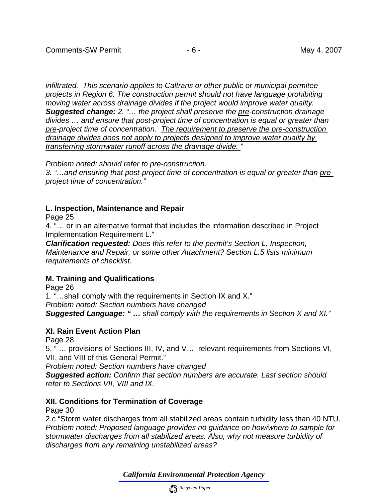*infiltrated. This scenario applies to Caltrans or other public or municipal permitee projects in Region 6. The construction permit should not have language prohibiting moving water across drainage divides if the project would improve water quality. Suggested change: 2. "… the project shall preserve the pre-construction drainage divides … and ensure that post-project time of concentration is equal or greater than pre-project time of concentration. The requirement to preserve the pre-construction drainage divides does not apply to projects designed to improve water quality by transferring stormwater runoff across the drainage divide. "* 

*Problem noted: should refer to pre-construction.* 

*3. "…and ensuring that post-project time of concentration is equal or greater than preproject time of concentration."*

# **L. Inspection, Maintenance and Repair**

Page 25

4. "… or in an alternative format that includes the information described in Project Implementation Requirement L."

*Clarification requested: Does this refer to the permit's Section L. Inspection, Maintenance and Repair, or some other Attachment? Section L.5 lists minimum requirements of checklist.* 

### **M. Training and Qualifications**

Page 26

1. "…shall comply with the requirements in Section IX and X."

*Problem noted: Section numbers have changed* 

*Suggested Language: " … shall comply with the requirements in Section X and XI."* 

### **XI. Rain Event Action Plan**

Page 28

5. " … provisions of Sections III, IV, and V… relevant requirements from Sections VI, VII, and VIII of this General Permit."

*Problem noted: Section numbers have changed* 

*Suggested action: Confirm that section numbers are accurate. Last section should refer to Sections VII, VIII and IX.* 

# **XII. Conditions for Termination of Coverage**

Page 30

2.c "Storm water discharges from all stabilized areas contain turbidity less than 40 NTU. *Problem noted: Proposed language provides no guidance on how/where to sample for stormwater discharges from all stabilized areas. Also, why not measure turbidity of discharges from any remaining unstabilized areas?*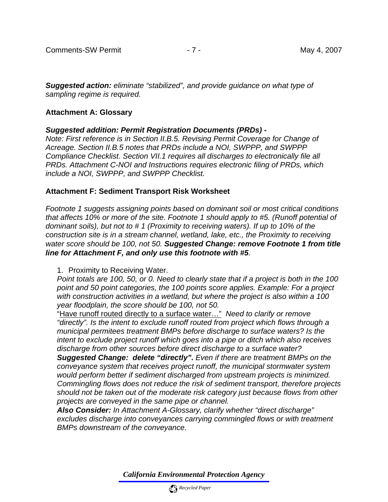*Suggested action: eliminate "stabilized", and provide guidance on what type of sampling regime is required.* 

# **Attachment A: Glossary**

# *Suggested addition: Permit Registration Documents (PRDs) -*

*Note: First reference is in Section II.B.5. Revising Permit Coverage for Change of Acreage. Section II.B.5 notes that PRDs include a NOI, SWPPP, and SWPPP Compliance Checklist. Section VII.1 requires all discharges to electronically file all PRDs. Attachment C-NOI and Instructions requires electronic filing of PRDs, which include a NOI, SWPPP, and SWPPP Checklist.* 

# **Attachment F: Sediment Transport Risk Worksheet**

*Footnote 1 suggests assigning points based on dominant soil or most critical conditions that affects 10% or more of the site. Footnote 1 should apply to #5. (Runoff potential of dominant soils), but not to # 1 (Proximity to receiving waters). If up to 10% of the construction site is in a stream channel, wetland, lake, etc., the Proximity to receiving water score should be 100, not 50. Suggested Change: remove Footnote 1 from title line for Attachment F, and only use this footnote with #5.* 

1. Proximity to Receiving Water.

*Point totals are 100, 50, or 0. Need to clearly state that if a project is both in the 100 point and 50 point categories, the 100 points score applies. Example: For a project with construction activities in a wetland, but where the project is also within a 100 year floodplain, the score should be 100, not 50.* 

"Have runoff routed directly to a surface water…" *Need to clarify or remove "directly". Is the intent to exclude runoff routed from project which flows through a municipal permitees treatment BMPs before discharge to surface waters? Is the intent to exclude project runoff which goes into a pipe or ditch which also receives discharge from other sources before direct discharge to a surface water?* 

*Suggested Change: delete "directly". Even if there are treatment BMPs on the conveyance system that receives project runoff, the municipal stormwater system would perform better if sediment discharged from upstream projects is minimized. Commingling flows does not reduce the risk of sediment transport, therefore projects should not be taken out of the moderate risk category just because flows from other projects are conveyed in the same pipe or channel.* 

*Also Consider: In Attachment A-Glossary, clarify whether "direct discharge" excludes discharge into conveyances carrying commingled flows or with treatment BMPs downstream of the conveyance.*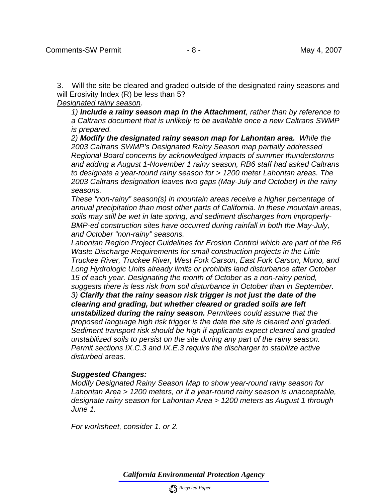3. Will the site be cleared and graded outside of the designated rainy seasons and will Erosivity Index (R) be less than 5?

*Designated rainy season.* 

*1) Include a rainy season map in the Attachment, rather than by reference to a Caltrans document that is unlikely to be available once a new Caltrans SWMP is prepared.* 

*2) Modify the designated rainy season map for Lahontan area. While the 2003 Caltrans SWMP's Designated Rainy Season map partially addressed Regional Board concerns by acknowledged impacts of summer thunderstorms and adding a August 1-November 1 rainy season, RB6 staff had asked Caltrans to designate a year-round rainy season for > 1200 meter Lahontan areas. The 2003 Caltrans designation leaves two gaps (May-July and October) in the rainy seasons.* 

*These "non-rainy" season(s) in mountain areas receive a higher percentage of annual precipitation than most other parts of California. In these mountain areas, soils may still be wet in late spring, and sediment discharges from improperly-BMP-ed construction sites have occurred during rainfall in both the May-July, and October "non-rainy" seasons.* 

*Lahontan Region Project Guidelines for Erosion Control which are part of the R6 Waste Discharge Requirements for small construction projects in the Little Truckee River, Truckee River, West Fork Carson, East Fork Carson, Mono, and Long Hydrologic Units already limits or prohibits land disturbance after October 15 of each year. Designating the month of October as a non-rainy period, suggests there is less risk from soil disturbance in October than in September. 3) Clarify that the rainy season risk trigger is not just the date of the clearing and grading, but whether cleared or graded soils are left unstabilized during the rainy season. Permitees could assume that the proposed language high risk trigger is the date the site is cleared and graded. Sediment transport risk should be high if applicants expect cleared and graded unstabilized soils to persist on the site during any part of the rainy season. Permit sections IX.C.3 and IX.E.3 require the discharger to stabilize active disturbed areas.* 

### *Suggested Changes:*

*Modify Designated Rainy Season Map to show year-round rainy season for Lahontan Area > 1200 meters, or if a year-round rainy season is unacceptable, designate rainy season for Lahontan Area > 1200 meters as August 1 through June 1.* 

*For worksheet, consider 1. or 2.*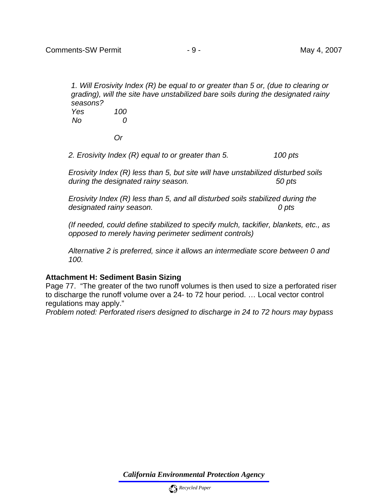*1. Will Erosivity Index (R) be equal to or greater than 5 or, (due to clearing or grading), will the site have unstabilized bare soils during the designated rainy seasons? Yes 100 No 0* 

 *Or* 

*2. Erosivity Index (R) equal to or greater than 5. 100 pts* 

*Erosivity Index (R) less than 5, but site will have unstabilized disturbed soils during the designated rainy season. 50 pts* 

*Erosivity Index (R) less than 5, and all disturbed soils stabilized during the designated rainy season. 0 pts* 

*(If needed, could define stabilized to specify mulch, tackifier, blankets, etc., as opposed to merely having perimeter sediment controls)* 

*Alternative 2 is preferred, since it allows an intermediate score between 0 and 100.* 

### **Attachment H: Sediment Basin Sizing**

Page 77. "The greater of the two runoff volumes is then used to size a perforated riser to discharge the runoff volume over a 24- to 72 hour period. … Local vector control regulations may apply."

*Problem noted: Perforated risers designed to discharge in 24 to 72 hours may bypass*